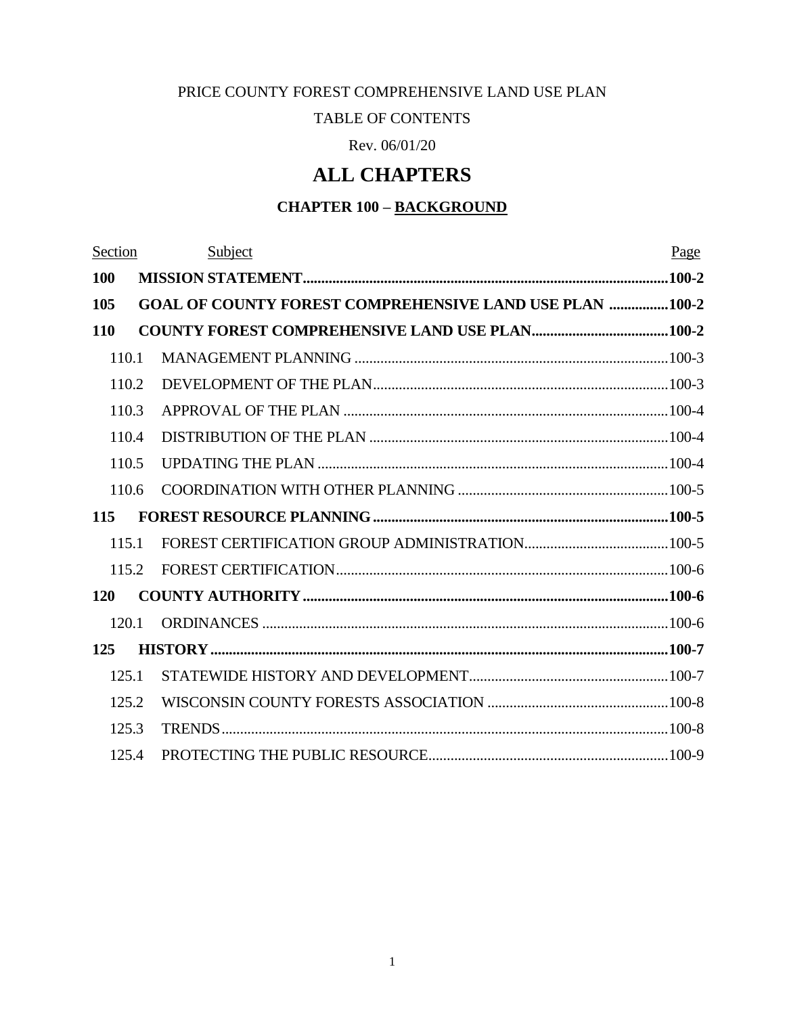#### PRICE COUNTY FOREST COMPREHENSIVE LAND USE PLAN

#### TABLE OF CONTENTS

Rev. 06/01/20

# **ALL CHAPTERS**

# **CHAPTER 100 – BACKGROUND**

| Section    | Subject                                                        | Page |
|------------|----------------------------------------------------------------|------|
| <b>100</b> |                                                                |      |
| 105        | <b>GOAL OF COUNTY FOREST COMPREHENSIVE LAND USE PLAN 100-2</b> |      |
| <b>110</b> |                                                                |      |
| 110.1      |                                                                |      |
| 110.2      |                                                                |      |
| 110.3      |                                                                |      |
| 110.4      |                                                                |      |
| 110.5      |                                                                |      |
| 110.6      |                                                                |      |
| 115        |                                                                |      |
| 115.1      |                                                                |      |
| 115.2      |                                                                |      |
| <b>120</b> |                                                                |      |
| 120.1      |                                                                |      |
| 125        |                                                                |      |
| 125.1      |                                                                |      |
| 125.2      |                                                                |      |
| 125.3      |                                                                |      |
| 125.4      |                                                                |      |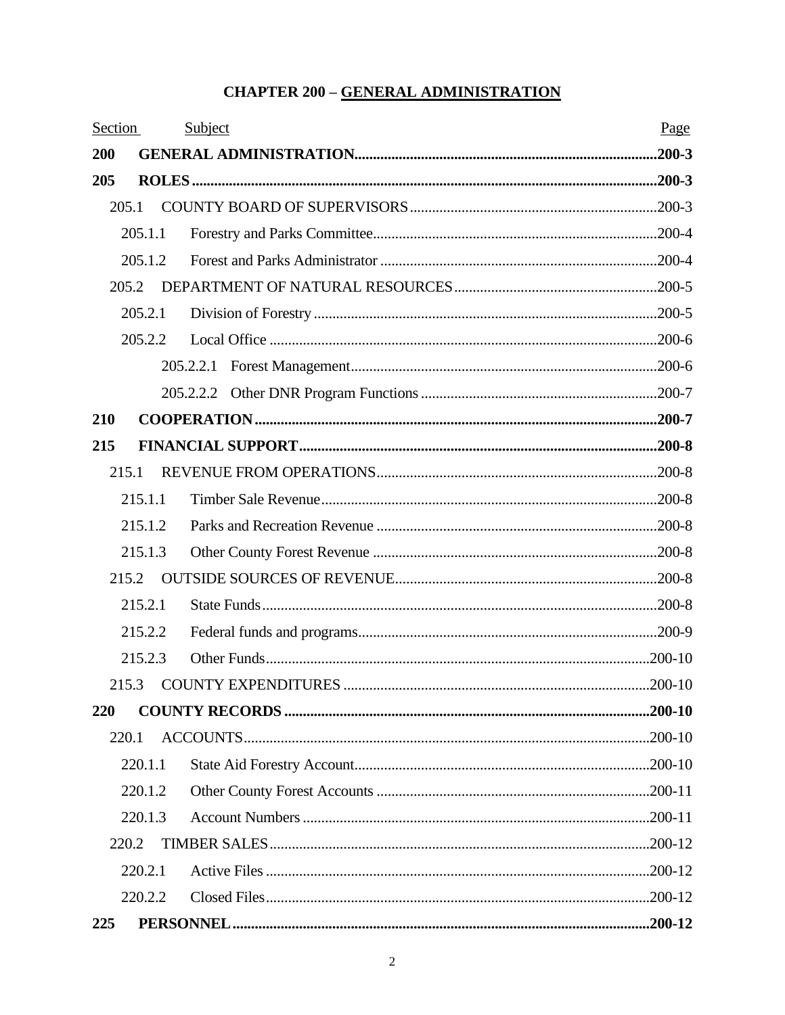#### **CHAPTER 200 - GENERAL ADMINISTRATION**

| Section |         | Subject | Page |
|---------|---------|---------|------|
| 200     |         |         |      |
| 205     |         |         |      |
|         | 205.1   |         |      |
|         | 205.1.1 |         |      |
|         | 205.1.2 |         |      |
|         | 205.2   |         |      |
|         | 205.2.1 |         |      |
|         | 205.2.2 |         |      |
|         |         |         |      |
|         |         |         |      |
| 210     |         |         |      |
| 215     |         |         |      |
|         | 215.1   |         |      |
|         | 215.1.1 |         |      |
|         | 215.1.2 |         |      |
|         | 215.1.3 |         |      |
|         | 215.2   |         |      |
|         | 215.2.1 |         |      |
|         | 215.2.2 |         |      |
|         | 215.2.3 |         |      |
|         | 215.3   |         |      |
| 220     |         |         |      |
|         | 220.1   |         |      |
|         | 220.1.1 |         |      |
|         | 220.1.2 |         |      |
|         | 220.1.3 |         |      |
|         | 220.2   |         |      |
|         | 220.2.1 |         |      |
|         | 220.2.2 |         |      |
| 225     |         |         |      |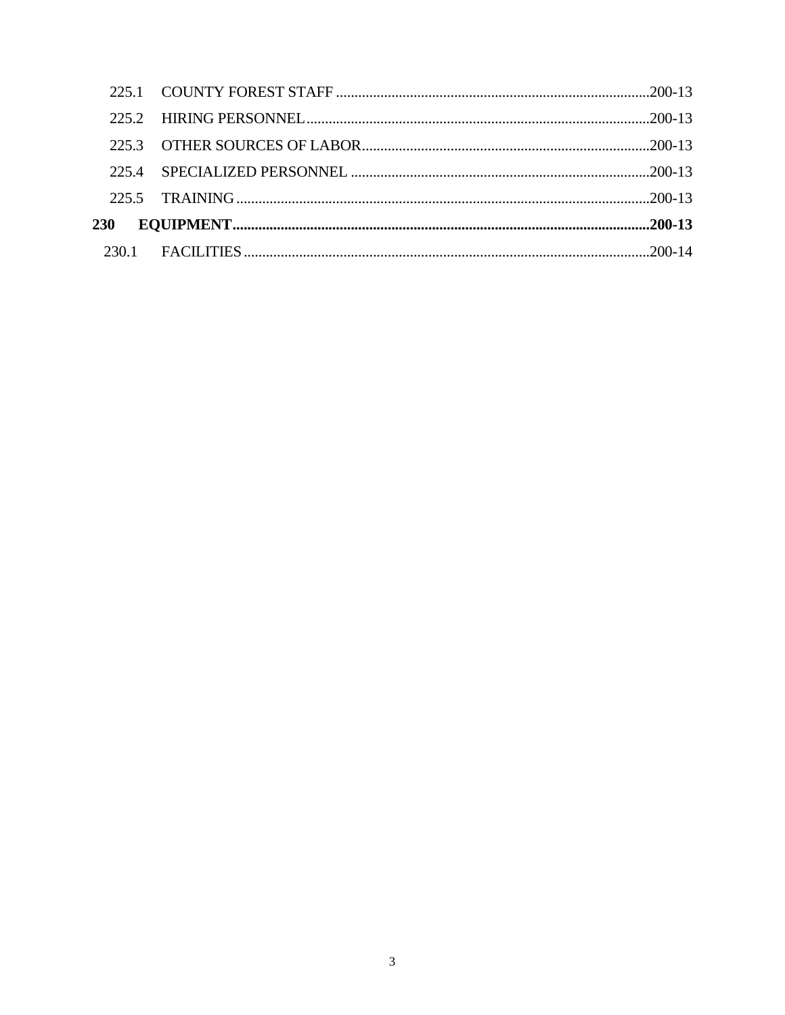| 2252         |  |
|--------------|--|
|              |  |
| $225 \Delta$ |  |
|              |  |
| <b>230</b>   |  |
|              |  |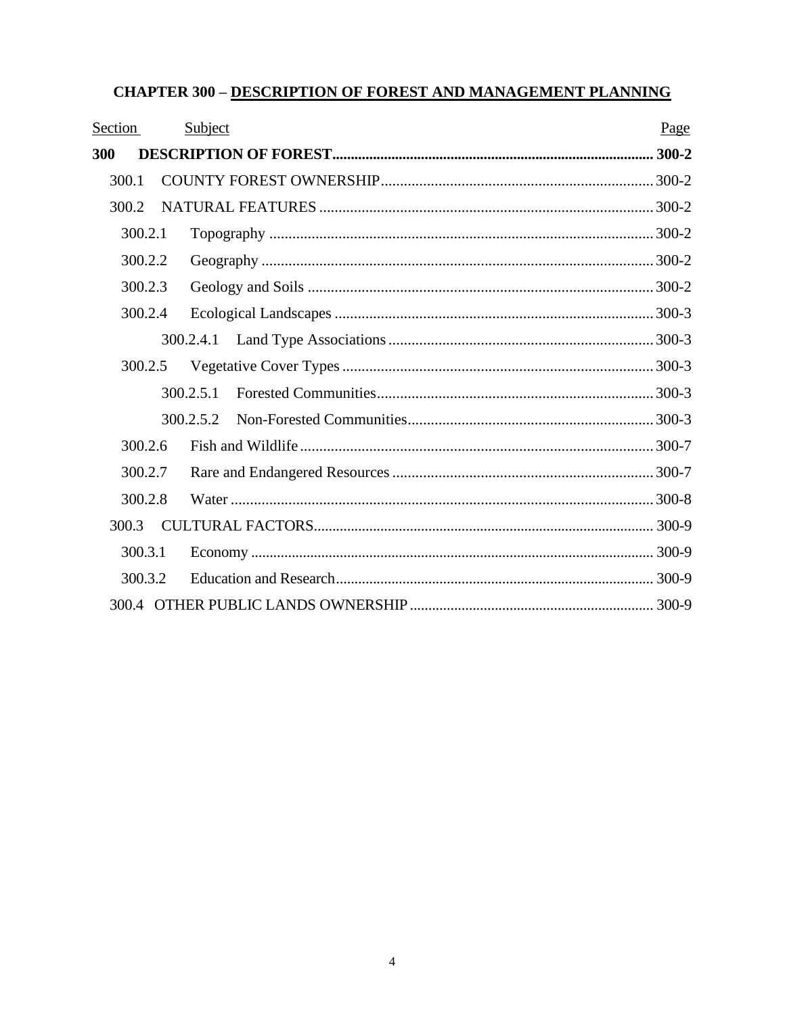# **CHAPTER 300 - DESCRIPTION OF FOREST AND MANAGEMENT PLANNING**

| Section | Subject   | Page |
|---------|-----------|------|
| 300     |           |      |
| 300.1   |           |      |
| 300.2   |           |      |
| 300.2.1 |           |      |
| 300.2.2 |           |      |
| 300.2.3 |           |      |
| 300.2.4 |           |      |
|         |           |      |
| 300.2.5 |           |      |
|         | 300.2.5.1 |      |
|         |           |      |
| 300.2.6 |           |      |
| 300.2.7 |           |      |
| 300.2.8 |           |      |
| 300.3   |           |      |
| 300.3.1 |           |      |
| 300.3.2 |           |      |
|         |           |      |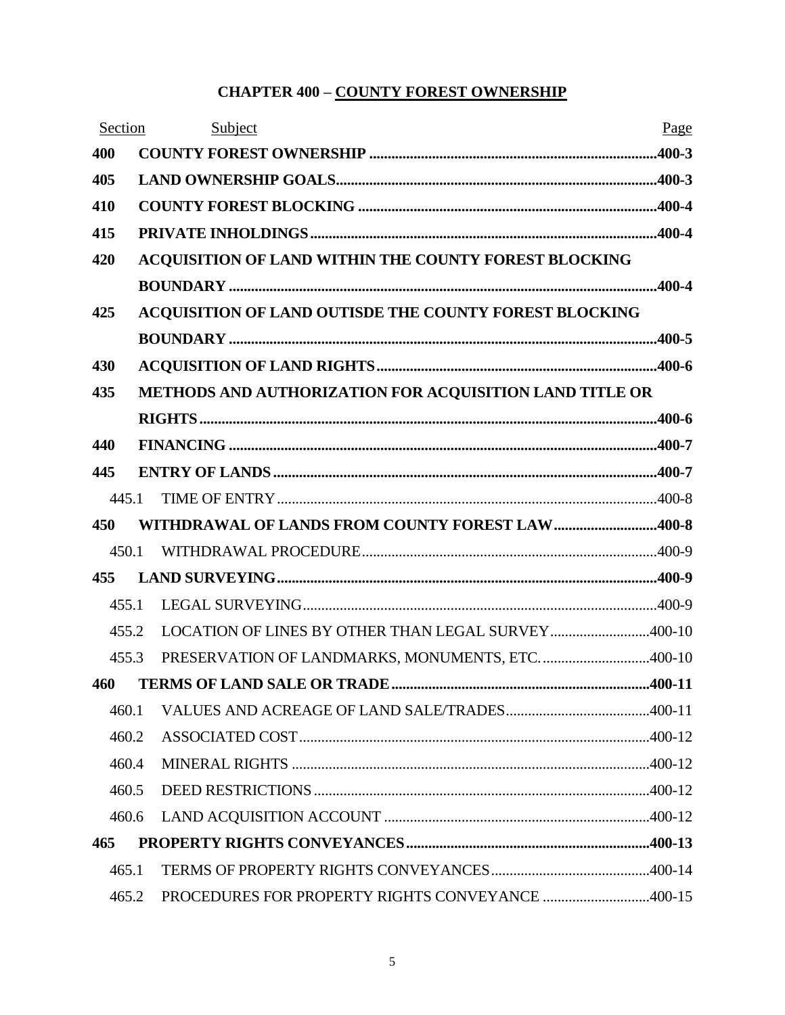# **CHAPTER 400 – COUNTY FOREST OWNERSHIP**

|     | Section | Subject                                                 | Page |
|-----|---------|---------------------------------------------------------|------|
| 400 |         |                                                         |      |
| 405 |         |                                                         |      |
| 410 |         |                                                         |      |
| 415 |         |                                                         |      |
| 420 |         | ACQUISITION OF LAND WITHIN THE COUNTY FOREST BLOCKING   |      |
|     |         |                                                         |      |
| 425 |         | ACQUISITION OF LAND OUTISDE THE COUNTY FOREST BLOCKING  |      |
|     |         |                                                         |      |
| 430 |         |                                                         |      |
| 435 |         | METHODS AND AUTHORIZATION FOR ACQUISITION LAND TITLE OR |      |
|     |         |                                                         |      |
| 440 |         |                                                         |      |
| 445 |         |                                                         |      |
|     | 445.1   |                                                         |      |
| 450 |         | WITHDRAWAL OF LANDS FROM COUNTY FOREST LAW400-8         |      |
|     | 450.1   |                                                         |      |
| 455 |         |                                                         |      |
|     | 455.1   |                                                         |      |
|     | 455.2   | LOCATION OF LINES BY OTHER THAN LEGAL SURVEY400-10      |      |
|     | 455.3   | PRESERVATION OF LANDMARKS, MONUMENTS, ETC. 400-10       |      |
| 460 |         |                                                         |      |
|     | 460.1   |                                                         |      |
|     | 460.2   |                                                         |      |
|     | 460.4   |                                                         |      |
|     | 460.5   |                                                         |      |
|     | 460.6   |                                                         |      |
| 465 |         |                                                         |      |
|     | 465.1   |                                                         |      |
|     | 465.2   | PROCEDURES FOR PROPERTY RIGHTS CONVEYANCE 400-15        |      |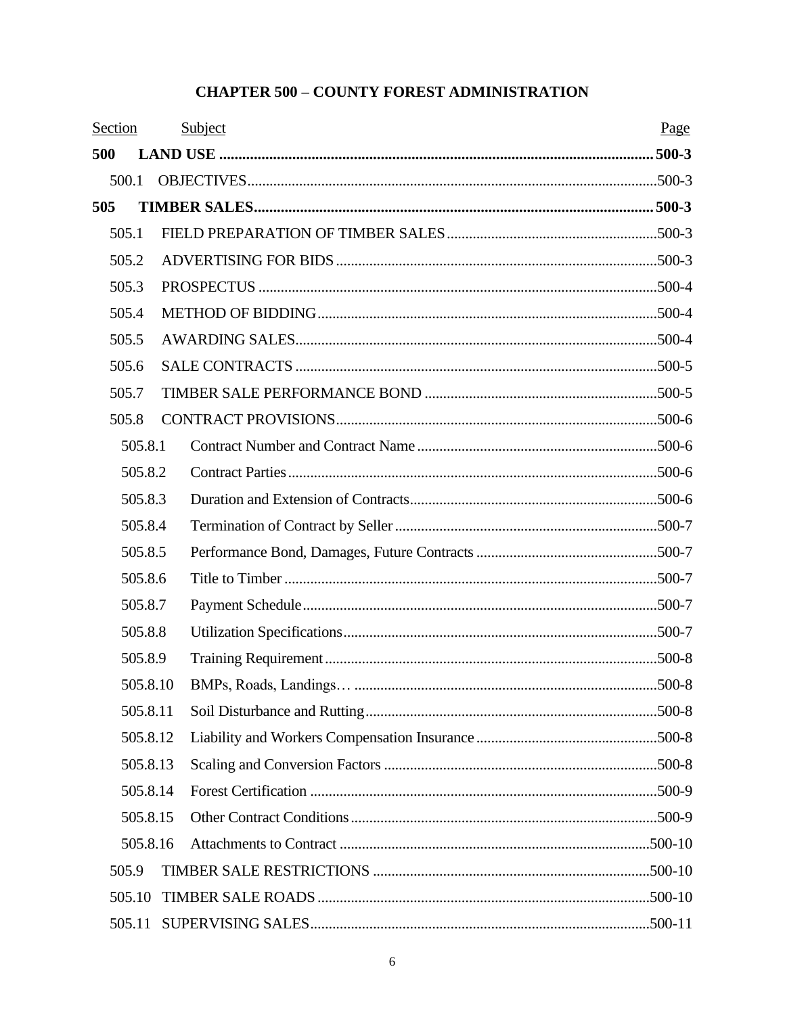# **CHAPTER 500 - COUNTY FOREST ADMINISTRATION**

| Section |         |          | Subject | Page |
|---------|---------|----------|---------|------|
| 500     |         |          |         |      |
|         | 500.1   |          |         |      |
| 505     |         |          |         |      |
|         | 505.1   |          |         |      |
|         | 505.2   |          |         |      |
|         | 505.3   |          |         |      |
|         | 505.4   |          |         |      |
|         | 505.5   |          |         |      |
|         | 505.6   |          |         |      |
|         | 505.7   |          |         |      |
|         | 505.8   |          |         |      |
|         | 505.8.1 |          |         |      |
|         | 505.8.2 |          |         |      |
|         | 505.8.3 |          |         |      |
|         | 505.8.4 |          |         |      |
|         | 505.8.5 |          |         |      |
|         | 505.8.6 |          |         |      |
|         | 505.8.7 |          |         |      |
|         | 505.8.8 |          |         |      |
|         | 505.8.9 |          |         |      |
|         |         | 505.8.10 |         |      |
|         |         | 505.8.11 |         |      |
|         |         | 505.8.12 |         |      |
|         |         | 505.8.13 |         |      |
|         |         | 505.8.14 |         |      |
|         |         | 505.8.15 |         |      |
|         |         | 505.8.16 |         |      |
|         | 505.9   |          |         |      |
|         | 505.10  |          |         |      |
|         |         |          |         |      |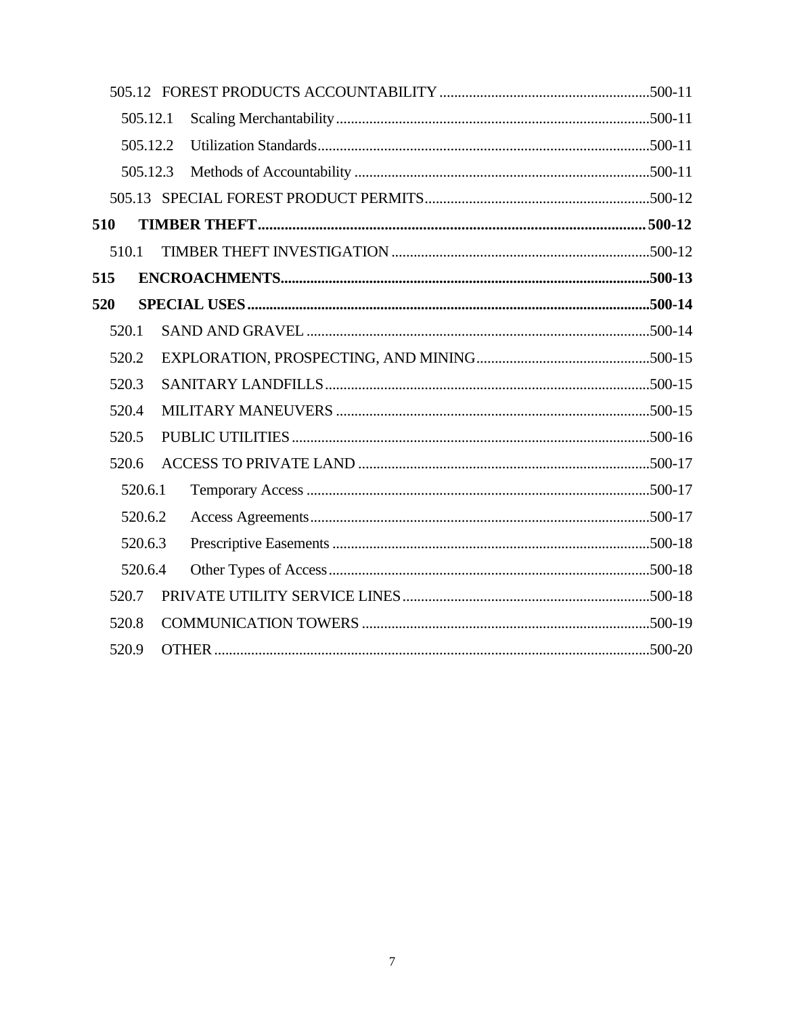|       | 505.12.1 |  |  |
|-------|----------|--|--|
|       | 505.12.2 |  |  |
|       | 505.12.3 |  |  |
|       |          |  |  |
| 510   |          |  |  |
| 510.1 |          |  |  |
| 515   |          |  |  |
| 520   |          |  |  |
| 520.1 |          |  |  |
| 520.2 |          |  |  |
| 520.3 |          |  |  |
| 520.4 |          |  |  |
| 520.5 |          |  |  |
| 520.6 |          |  |  |
|       | 520.6.1  |  |  |
|       | 520.6.2  |  |  |
|       | 520.6.3  |  |  |
|       | 520.6.4  |  |  |
| 520.7 |          |  |  |
| 520.8 |          |  |  |
| 520.9 |          |  |  |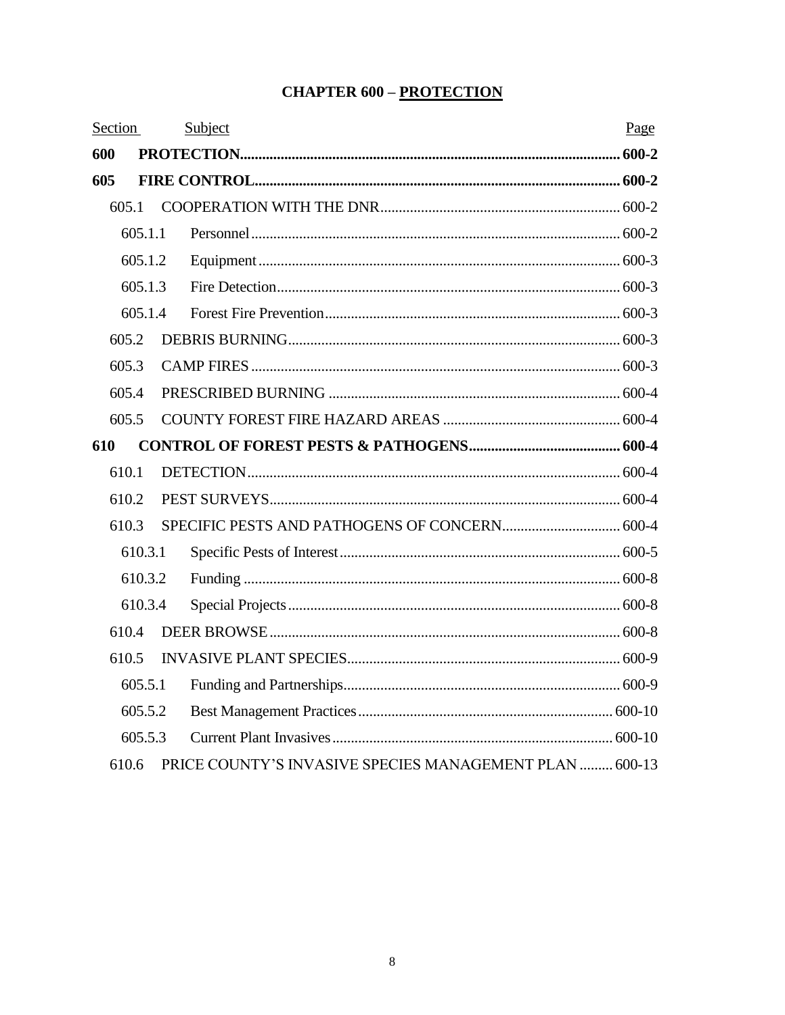#### **CHAPTER 600 - PROTECTION**

| Section |         | Subject                                                 | Page |
|---------|---------|---------------------------------------------------------|------|
| 600     |         |                                                         |      |
| 605     |         |                                                         |      |
|         | 605.1   |                                                         |      |
|         | 605.1.1 |                                                         |      |
|         | 605.1.2 |                                                         |      |
|         | 605.1.3 |                                                         |      |
|         | 605.1.4 |                                                         |      |
|         | 605.2   |                                                         |      |
|         | 605.3   |                                                         |      |
|         | 605.4   |                                                         |      |
|         | 605.5   |                                                         |      |
| 610     |         |                                                         |      |
|         | 610.1   |                                                         |      |
|         | 610.2   |                                                         |      |
|         | 610.3   |                                                         |      |
|         | 610.3.1 |                                                         |      |
|         | 610.3.2 |                                                         |      |
|         | 610.3.4 |                                                         |      |
|         | 610.4   |                                                         |      |
|         | 610.5   |                                                         |      |
|         | 605.5.1 |                                                         |      |
|         | 605.5.2 |                                                         |      |
|         | 605.5.3 |                                                         |      |
|         | 610.6   | PRICE COUNTY'S INVASIVE SPECIES MANAGEMENT PLAN  600-13 |      |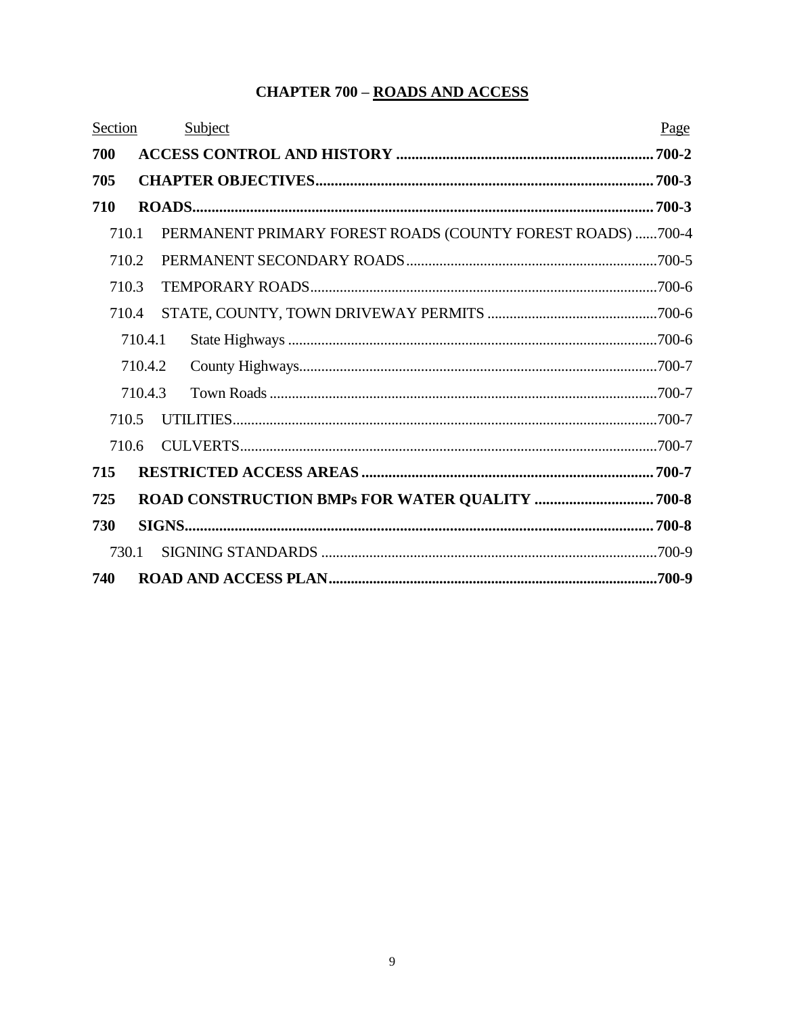#### **CHAPTER 700 - ROADS AND ACCESS**

| Section |         | Subject                                                    | Page  |
|---------|---------|------------------------------------------------------------|-------|
| 700     |         |                                                            | 700-2 |
| 705     |         |                                                            |       |
| 710     |         |                                                            |       |
| 710.1   |         | PERMANENT PRIMARY FOREST ROADS (COUNTY FOREST ROADS) 700-4 |       |
| 710.2   |         |                                                            |       |
| 710.3   |         |                                                            |       |
| 710.4   |         |                                                            |       |
|         | 710.4.1 |                                                            |       |
|         | 710.4.2 |                                                            |       |
|         | 710.4.3 |                                                            |       |
| 710.5   |         |                                                            |       |
| 710.6   |         |                                                            |       |
| 715     |         |                                                            |       |
| 725     |         |                                                            |       |
| 730     |         |                                                            |       |
| 730.1   |         |                                                            |       |
| 740     |         |                                                            |       |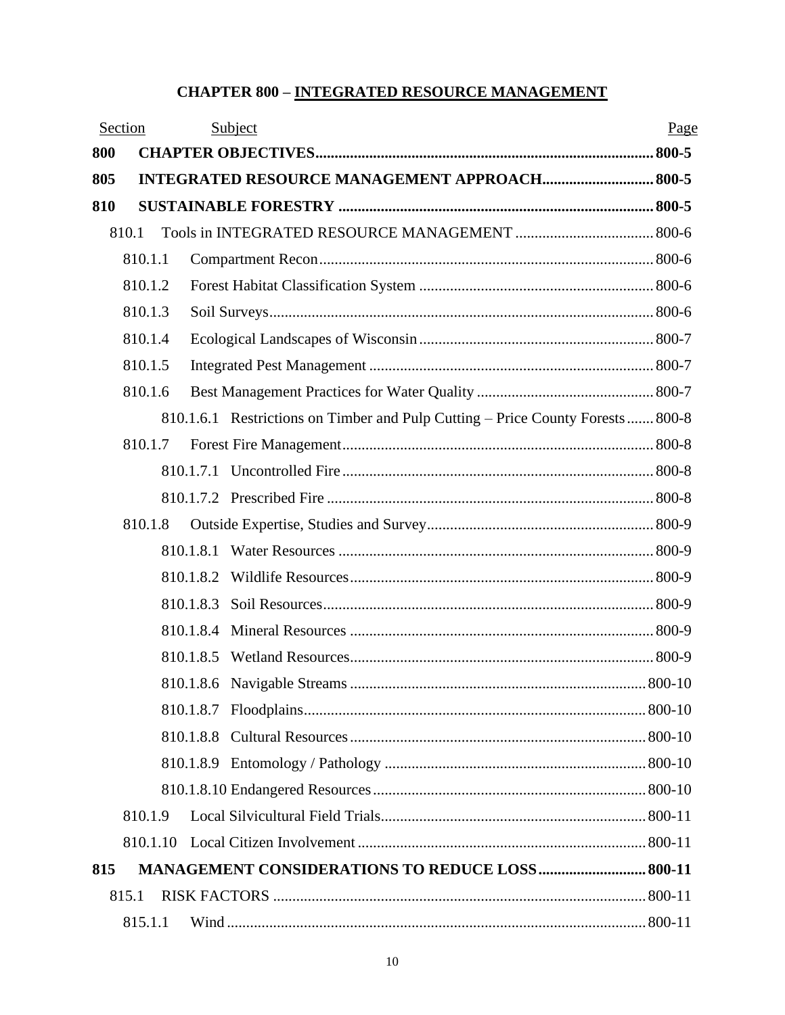#### **CHAPTER 800 – INTEGRATED RESOURCE MANAGEMENT**

|     | Section  |           | Subject                                                                        | Page |
|-----|----------|-----------|--------------------------------------------------------------------------------|------|
| 800 |          |           |                                                                                |      |
| 805 |          |           | <b>INTEGRATED RESOURCE MANAGEMENT APPROACH 800-5</b>                           |      |
| 810 |          |           |                                                                                |      |
|     | 810.1    |           |                                                                                |      |
|     | 810.1.1  |           |                                                                                |      |
|     | 810.1.2  |           |                                                                                |      |
|     | 810.1.3  |           |                                                                                |      |
|     | 810.1.4  |           |                                                                                |      |
|     | 810.1.5  |           |                                                                                |      |
|     | 810.1.6  |           |                                                                                |      |
|     |          |           | 810.1.6.1 Restrictions on Timber and Pulp Cutting – Price County Forests 800-8 |      |
|     | 810.1.7  |           |                                                                                |      |
|     |          |           |                                                                                |      |
|     |          |           |                                                                                |      |
|     | 810.1.8  |           |                                                                                |      |
|     |          |           |                                                                                |      |
|     |          |           |                                                                                |      |
|     |          | 810.1.8.3 |                                                                                |      |
|     |          |           |                                                                                |      |
|     |          |           |                                                                                |      |
|     |          |           |                                                                                |      |
|     |          |           |                                                                                |      |
|     |          |           |                                                                                |      |
|     |          |           |                                                                                |      |
|     |          |           |                                                                                |      |
|     | 810.1.9  |           |                                                                                |      |
|     | 810.1.10 |           |                                                                                |      |
| 815 |          |           | <b>MANAGEMENT CONSIDERATIONS TO REDUCE LOSS 800-11</b>                         |      |
|     | 815.1    |           |                                                                                |      |
|     | 815.1.1  |           |                                                                                |      |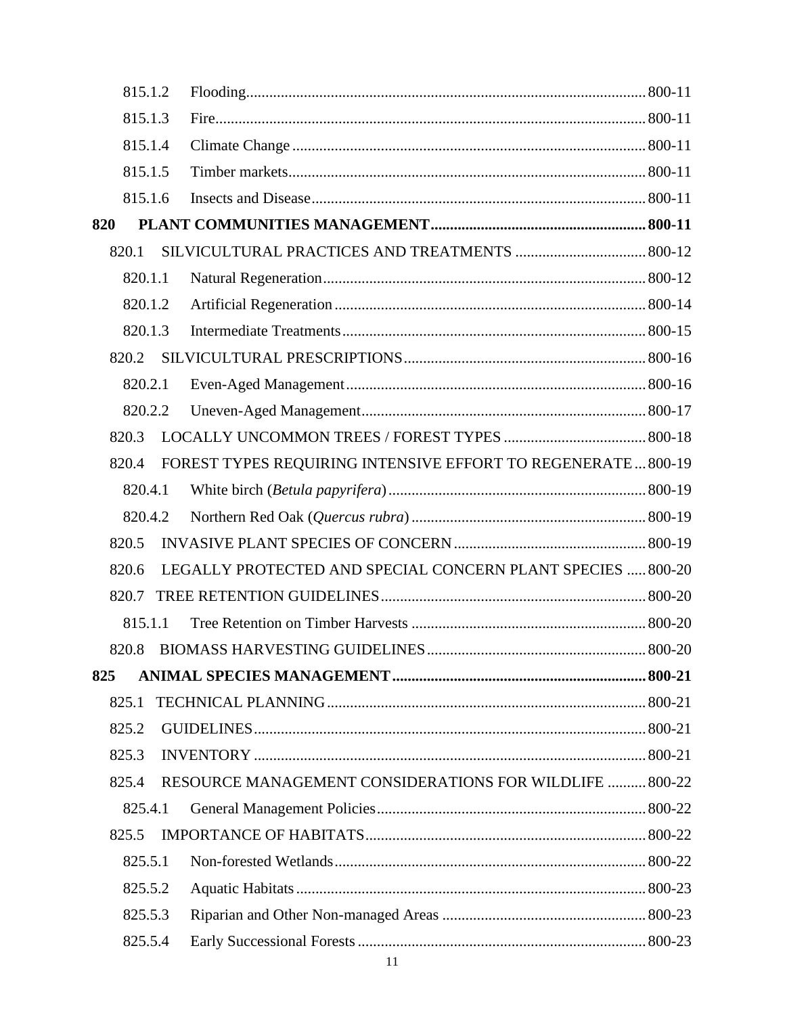| 815.1.2 |                                                               |  |
|---------|---------------------------------------------------------------|--|
| 815.1.3 |                                                               |  |
| 815.1.4 |                                                               |  |
| 815.1.5 |                                                               |  |
| 815.1.6 |                                                               |  |
| 820     |                                                               |  |
| 820.1   |                                                               |  |
| 820.1.1 |                                                               |  |
| 820.1.2 |                                                               |  |
| 820.1.3 |                                                               |  |
| 820.2   |                                                               |  |
| 820.2.1 |                                                               |  |
| 820.2.2 |                                                               |  |
| 820.3   |                                                               |  |
| 820.4   | FOREST TYPES REQUIRING INTENSIVE EFFORT TO REGENERATE  800-19 |  |
| 820.4.1 |                                                               |  |
| 820.4.2 |                                                               |  |
| 820.5   |                                                               |  |
| 820.6   | LEGALLY PROTECTED AND SPECIAL CONCERN PLANT SPECIES  800-20   |  |
| 820.7   |                                                               |  |
| 815.1.1 |                                                               |  |
| 820.8   |                                                               |  |
| 825     |                                                               |  |
| 825.1   |                                                               |  |
| 825.2   |                                                               |  |
| 825.3   |                                                               |  |
| 825.4   | RESOURCE MANAGEMENT CONSIDERATIONS FOR WILDLIFE  800-22       |  |
| 825.4.1 |                                                               |  |
| 825.5   |                                                               |  |
| 825.5.1 |                                                               |  |
| 825.5.2 |                                                               |  |
| 825.5.3 |                                                               |  |
| 825.5.4 |                                                               |  |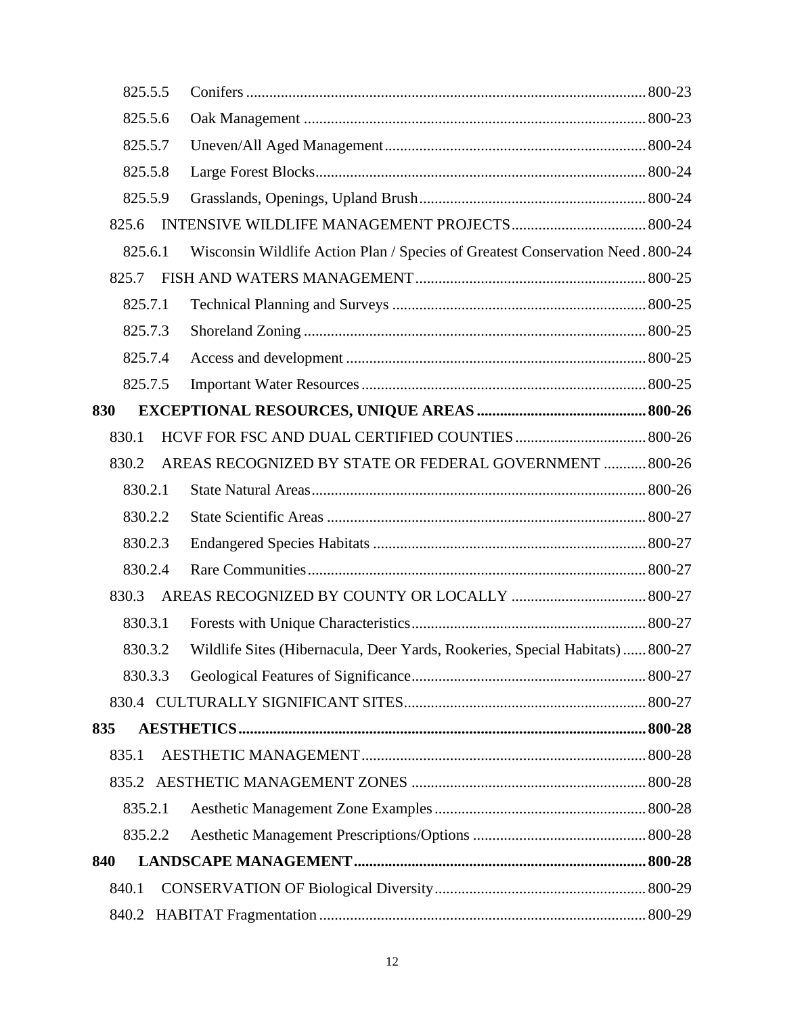| 825.5.5 |                                                                                |  |
|---------|--------------------------------------------------------------------------------|--|
| 825.5.6 |                                                                                |  |
| 825.5.7 |                                                                                |  |
| 825.5.8 |                                                                                |  |
| 825.5.9 |                                                                                |  |
| 825.6   |                                                                                |  |
| 825.6.1 | Wisconsin Wildlife Action Plan / Species of Greatest Conservation Need. 800-24 |  |
| 825.7   |                                                                                |  |
| 825.7.1 |                                                                                |  |
| 825.7.3 |                                                                                |  |
| 825.7.4 |                                                                                |  |
| 825.7.5 |                                                                                |  |
| 830     |                                                                                |  |
| 830.1   |                                                                                |  |
| 830.2   | AREAS RECOGNIZED BY STATE OR FEDERAL GOVERNMENT  800-26                        |  |
| 830.2.1 |                                                                                |  |
| 830.2.2 |                                                                                |  |
| 830.2.3 |                                                                                |  |
| 830.2.4 |                                                                                |  |
| 830.3   |                                                                                |  |
| 830.3.1 |                                                                                |  |
| 830.3.2 | Wildlife Sites (Hibernacula, Deer Yards, Rookeries, Special Habitats)  800-27  |  |
| 830.3.3 |                                                                                |  |
|         |                                                                                |  |
| 835     |                                                                                |  |
| 835.1   |                                                                                |  |
|         |                                                                                |  |
| 835.2.1 |                                                                                |  |
| 835.2.2 |                                                                                |  |
| 840     |                                                                                |  |
| 840.1   |                                                                                |  |
|         |                                                                                |  |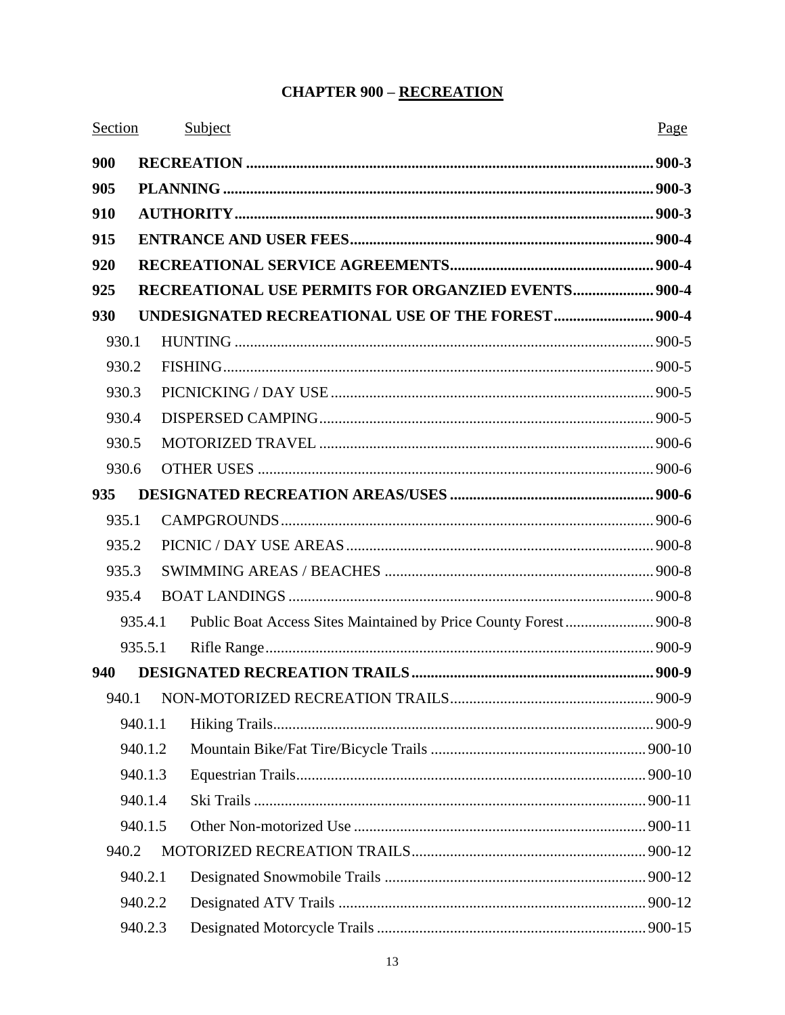#### **CHAPTER 900 - RECREATION**

| Section |         | Subject                                                          | Page |
|---------|---------|------------------------------------------------------------------|------|
| 900     |         |                                                                  |      |
| 905     |         |                                                                  |      |
| 910     |         |                                                                  |      |
| 915     |         |                                                                  |      |
| 920     |         |                                                                  |      |
| 925     |         | <b>RECREATIONAL USE PERMITS FOR ORGANZIED EVENTS 900-4</b>       |      |
| 930     |         |                                                                  |      |
| 930.1   |         |                                                                  |      |
| 930.2   |         |                                                                  |      |
| 930.3   |         |                                                                  |      |
|         | 930.4   |                                                                  |      |
|         | 930.5   |                                                                  |      |
|         | 930.6   |                                                                  |      |
| 935     |         |                                                                  |      |
| 935.1   |         |                                                                  |      |
|         | 935.2   |                                                                  |      |
|         | 935.3   |                                                                  |      |
|         | 935.4   |                                                                  |      |
|         | 935.4.1 | Public Boat Access Sites Maintained by Price County Forest 900-8 |      |
|         |         |                                                                  |      |
| 940     |         |                                                                  |      |
|         |         |                                                                  |      |
|         | 940.1.1 |                                                                  |      |
|         | 940.1.2 |                                                                  |      |
|         | 940.1.3 |                                                                  |      |
|         | 940.1.4 |                                                                  |      |
|         | 940.1.5 |                                                                  |      |
| 940.2   |         |                                                                  |      |
|         | 940.2.1 |                                                                  |      |
|         | 940.2.2 |                                                                  |      |
|         | 940.2.3 |                                                                  |      |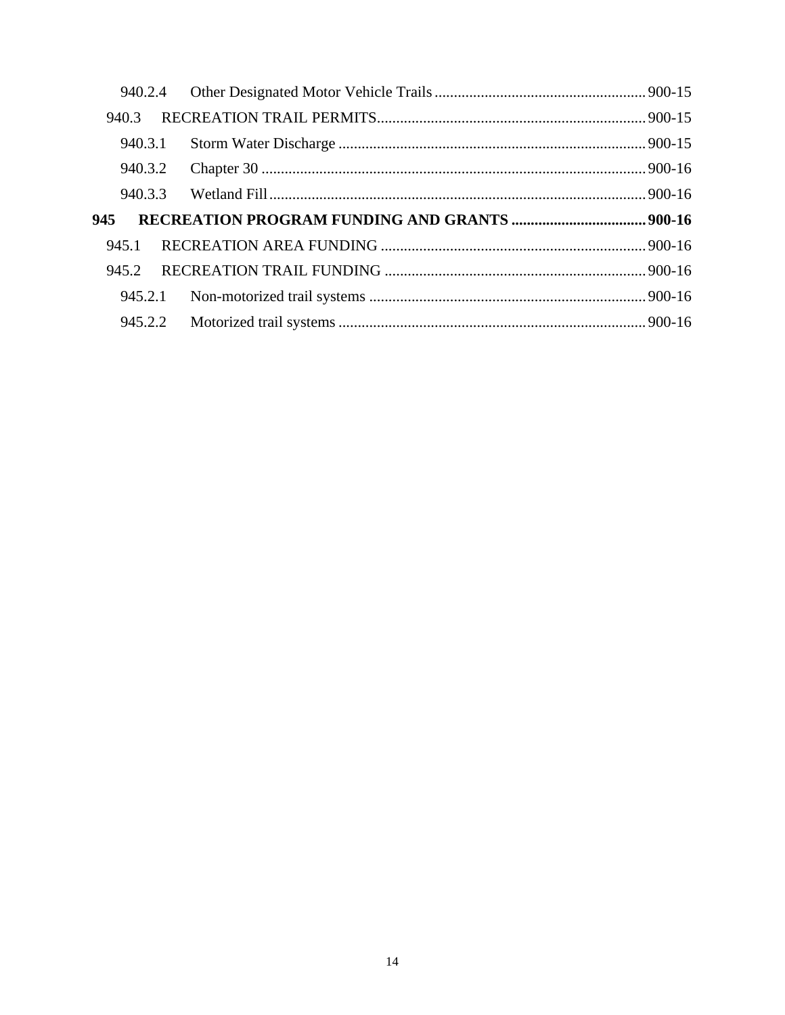| 940.3   |  |
|---------|--|
| 940.3.1 |  |
| 940.3.2 |  |
| 940.3.3 |  |
| 945     |  |
| 945.1   |  |
| 945.2   |  |
|         |  |
|         |  |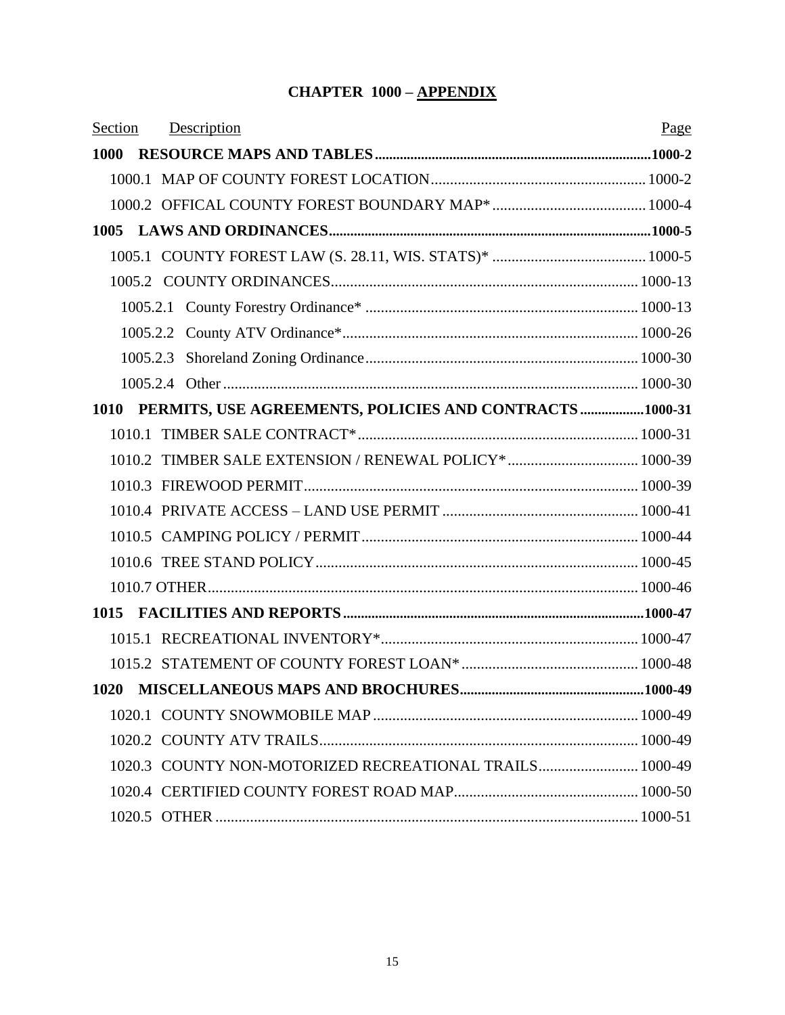# **CHAPTER 1000 – APPENDIX**

| Section | Description                                                  | Page |
|---------|--------------------------------------------------------------|------|
|         |                                                              |      |
|         |                                                              |      |
|         |                                                              |      |
|         |                                                              |      |
|         |                                                              |      |
|         |                                                              |      |
|         |                                                              |      |
|         |                                                              |      |
|         |                                                              |      |
|         |                                                              |      |
|         | 1010 PERMITS, USE AGREEMENTS, POLICIES AND CONTRACTS 1000-31 |      |
|         |                                                              |      |
|         | 1010.2 TIMBER SALE EXTENSION / RENEWAL POLICY* 1000-39       |      |
|         |                                                              |      |
|         |                                                              |      |
|         |                                                              |      |
|         |                                                              |      |
|         |                                                              |      |
|         |                                                              |      |
|         |                                                              |      |
|         |                                                              |      |
|         |                                                              |      |
|         |                                                              |      |
|         |                                                              |      |
|         | 1020.3 COUNTY NON-MOTORIZED RECREATIONAL TRAILS 1000-49      |      |
|         |                                                              |      |
|         |                                                              |      |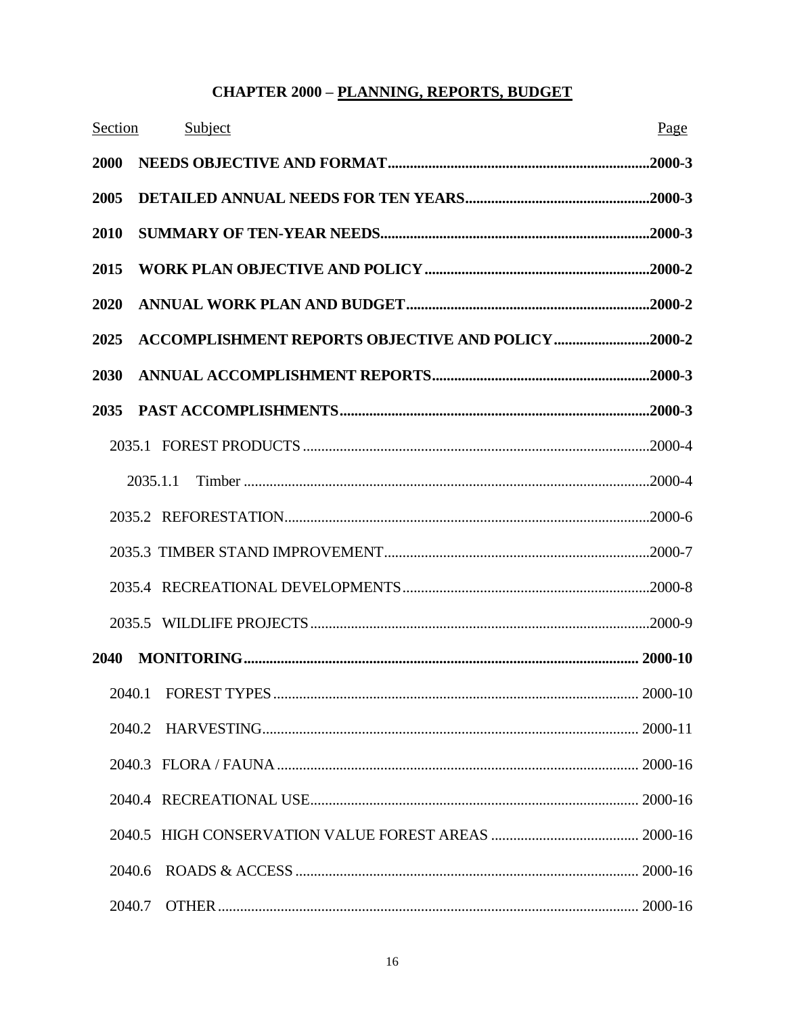#### **CHAPTER 2000 - PLANNING, REPORTS, BUDGET**

| Section | Subject                                            | Page |
|---------|----------------------------------------------------|------|
| 2000    |                                                    |      |
| 2005    |                                                    |      |
| 2010    |                                                    |      |
| 2015    |                                                    |      |
| 2020    |                                                    |      |
| 2025    | ACCOMPLISHMENT REPORTS OBJECTIVE AND POLICY 2000-2 |      |
| 2030    |                                                    |      |
| 2035    |                                                    |      |
|         |                                                    |      |
|         | 2035.1.1                                           |      |
|         |                                                    |      |
|         |                                                    |      |
|         |                                                    |      |
|         |                                                    |      |
| 2040    |                                                    |      |
|         |                                                    |      |
|         | 2040.2                                             |      |
|         |                                                    |      |
|         |                                                    |      |
|         |                                                    |      |
|         | 2040.6                                             |      |
|         | 2040.7                                             |      |